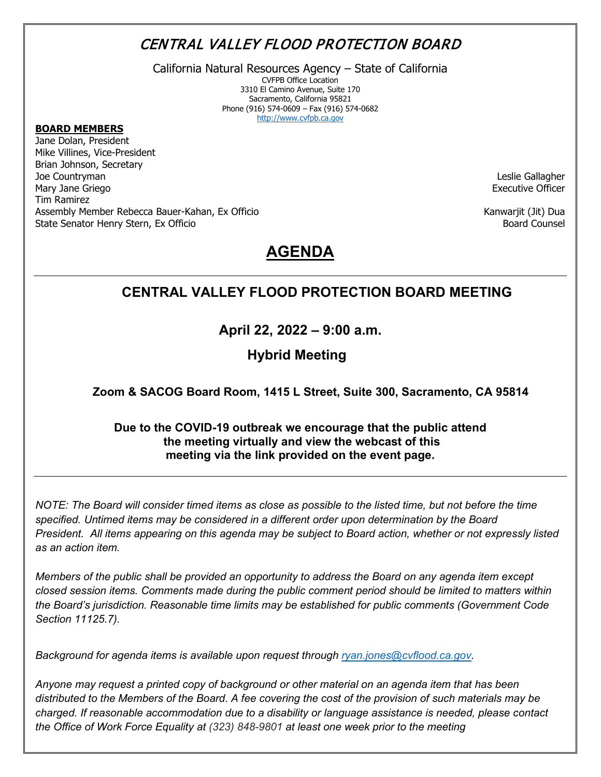# CENTRAL VALLEY FLOOD PROTECTION BOARD

California Natural Resources Agency – State of California

CVFPB Office Location 3310 El Camino Avenue, Suite 170 Sacramento, California 95821 Phone (916) 574-0609 – Fax (916) 574-0682 [http://www.cvfpb.ca.gov](http://www.cvfpb.ca.gov/)

#### **BOARD MEMBERS**

Jane Dolan, President Mike Villines, Vice-President Brian Johnson, Secretary Joe Countryman Mary Jane Griego Tim Ramirez Assembly Member Rebecca Bauer-Kahan, Ex Officio State Senator Henry Stern, Ex Officio

Leslie Gallagher Executive Officer

Kanwarjit (Jit) Dua Board Counsel

# **AGENDA**

# **CENTRAL VALLEY FLOOD PROTECTION BOARD MEETING**

**April 22, 2022 – 9:00 a.m.**

**Hybrid Meeting**

# **Zoom & SACOG Board Room, 1415 L Street, Suite 300, Sacramento, CA 95814**

## **Due to the COVID-19 outbreak we encourage that the public attend the meeting virtually and view the webcast of this meeting via the link provided on the event page.**

*NOTE: The Board will consider timed items as close as possible to the listed time, but not before the time specified. Untimed items may be considered in a different order upon determination by the Board President. All items appearing on this agenda may be subject to Board action, whether or not expressly listed as an action item.*

*Members of the public shall be provided an opportunity to address the Board on any agenda item except closed session items. Comments made during the public comment period should be limited to matters within the Board's jurisdiction. Reasonable time limits may be established for public comments (Government Code Section 11125.7).*

*Background for agenda items is available upon request through [ryan.jones@cvflood.ca.gov.](mailto:ryan.jones@cvflood.ca.gov)* 

*Anyone may request a printed copy of background or other material on an agenda item that has been distributed to the Members of the Board. A fee covering the cost of the provision of such materials may be charged. If reasonable accommodation due to a disability or language assistance is needed, please contact the Office of Work Force Equality at (323) 848-9801 at least one week prior to the meeting*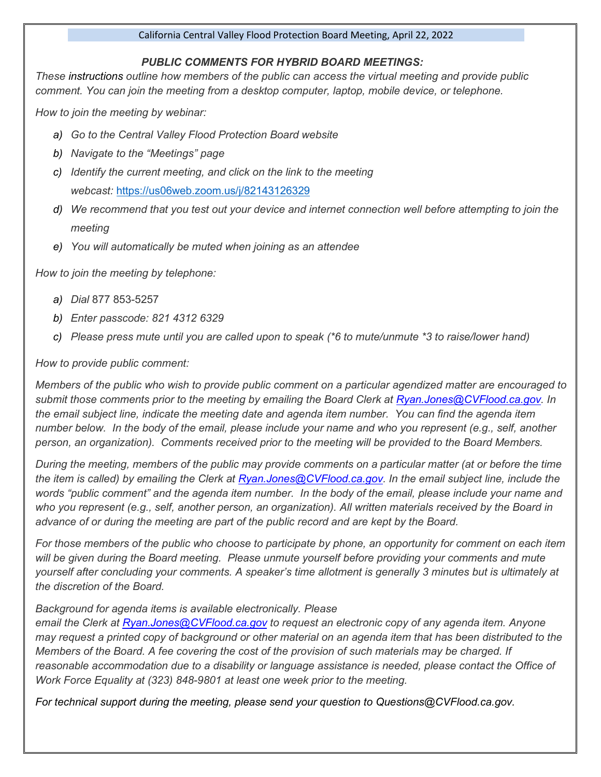#### California Central Valley Flood Protection Board Meeting, April 22, 2022

#### *PUBLIC COMMENTS FOR HYBRID BOARD MEETINGS:*

*These instructions outline how members of the public can access the virtual meeting and provide public comment. You can join the meeting from a desktop computer, laptop, mobile device, or telephone.*

*How to join the meeting by webinar:*

- *a) Go to the Central Valley Flood Protection Board website*
- *b) Navigate to the "Meetings" page*
- *c) Identify the current meeting, and click on the link to the meeting webcast:* <https://us06web.zoom.us/j/82143126329>
- *d) We recommend that you test out your device and internet connection well before attempting to join the meeting*
- *e) You will automatically be muted when joining as an attendee*

*How to join the meeting by telephone:*

- *a) Dial* 877 853-5257
- *b) Enter passcode: 821 4312 6329*
- *c) Please press mute until you are called upon to speak (\*6 to mute/unmute \*3 to raise/lower hand)*

#### *How to provide public comment:*

*Members of the public who wish to provide public comment on a particular agendized matter are encouraged to submit those comments prior to the meeting by emailing the Board Clerk at [Ryan.Jones@CVFlood.ca.gov.](mailto:Ryan.Jones@CVFlood.ca.gov) In the email subject line, indicate the meeting date and agenda item number. You can find the agenda item number below. In the body of the email, please include your name and who you represent (e.g., self, another person, an organization). Comments received prior to the meeting will be provided to the Board Members.*

*During the meeting, members of the public may provide comments on a particular matter (at or before the time the item is called) by emailing the Clerk at Ryan.Jones@CVFlood.ca.gov. In the email subject line, include the words "public comment" and the agenda item number. In the body of the email, please include your name and who you represent (e.g., self, another person, an organization). All written materials received by the Board in advance of or during the meeting are part of the public record and are kept by the Board.* 

*For those members of the public who choose to participate by phone, an opportunity for comment on each item will be given during the Board meeting. Please unmute yourself before providing your comments and mute yourself after concluding your comments. A speaker's time allotment is generally 3 minutes but is ultimately at the discretion of the Board.* 

#### *Background for agenda items is available electronically. Please*

*email the Clerk at [Ryan.Jones@CVFlood.ca.gov](mailto:Ryan.Jones@CVFlood.ca.gov) to request an electronic copy of any agenda item. Anyone may request a printed copy of background or other material on an agenda item that has been distributed to the Members of the Board. A fee covering the cost of the provision of such materials may be charged. If reasonable accommodation due to a disability or language assistance is needed, please contact the Office of Work Force Equality at (323) 848-9801 at least one week prior to the meeting.*

*For technical support during the meeting, please send your question to Questions@CVFlood.ca.gov.*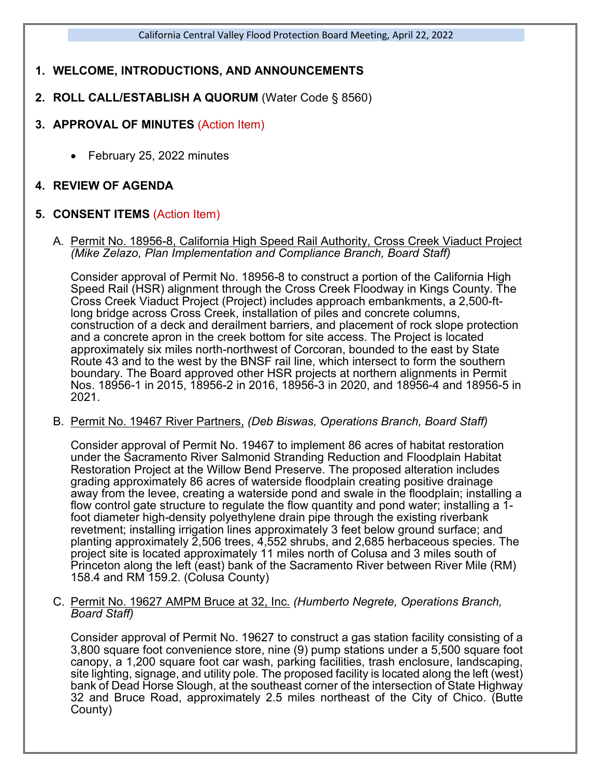## **1. WELCOME, INTRODUCTIONS, AND ANNOUNCEMENTS**

- **2. ROLL CALL/ESTABLISH A QUORUM** (Water Code § 8560)
- **3. APPROVAL OF MINUTES** (Action Item)
	- February 25, 2022 minutes

## **4. REVIEW OF AGENDA**

#### **5. CONSENT ITEMS** (Action Item)

A. Permit No. 18956-8, California High Speed Rail Authority, Cross Creek Viaduct Project *(Mike Zelazo, Plan Implementation and Compliance Branch, Board Staff)*

Consider approval of Permit No. 18956-8 to construct a portion of the California High Speed Rail (HSR) alignment through the Cross Creek Floodway in Kings County. The Cross Creek Viaduct Project (Project) includes approach embankments, a 2,500-ftlong bridge across Cross Creek, installation of piles and concrete columns, construction of a deck and derailment barriers, and placement of rock slope protection and a concrete apron in the creek bottom for site access. The Project is located approximately six miles north-northwest of Corcoran, bounded to the east by State Route 43 and to the west by the BNSF rail line, which intersect to form the southern boundary. The Board approved other HSR projects at northern alignments in Permit Nos. 18956-1 in 2015, 18956-2 in 2016, 18956-3 in 2020, and 18956-4 and 18956-5 in 2021.

B. Permit No. 19467 River Partners, *(Deb Biswas, Operations Branch, Board Staff)*

Consider approval of Permit No. 19467 to implement 86 acres of habitat restoration under the Sacramento River Salmonid Stranding Reduction and Floodplain Habitat Restoration Project at the Willow Bend Preserve. The proposed alteration includes grading approximately 86 acres of waterside floodplain creating positive drainage away from the levee, creating a waterside pond and swale in the floodplain; installing a flow control gate structure to regulate the flow quantity and pond water; installing a 1 foot diameter high-density polyethylene drain pipe through the existing riverbank revetment; installing irrigation lines approximately 3 feet below ground surface; and planting approximately 2,506 trees, 4,552 shrubs, and 2,685 herbaceous species. The project site is located approximately 11 miles north of Colusa and 3 miles south of Princeton along the left (east) bank of the Sacramento River between River Mile (RM) 158.4 and RM 159.2. (Colusa County)

C. Permit No. 19627 AMPM Bruce at 32, Inc. *(Humberto Negrete, Operations Branch, Board Staff)*

Consider approval of Permit No. 19627 to construct a gas station facility consisting of a 3,800 square foot convenience store, nine (9) pump stations under a 5,500 square foot canopy, a 1,200 square foot car wash, parking facilities, trash enclosure, landscaping, site lighting, signage, and utility pole. The proposed facility is located along the left (west) bank of Dead Horse Slough, at the southeast corner of the intersection of State Highway 32 and Bruce Road, approximately 2.5 miles northeast of the City of Chico. (Butte County)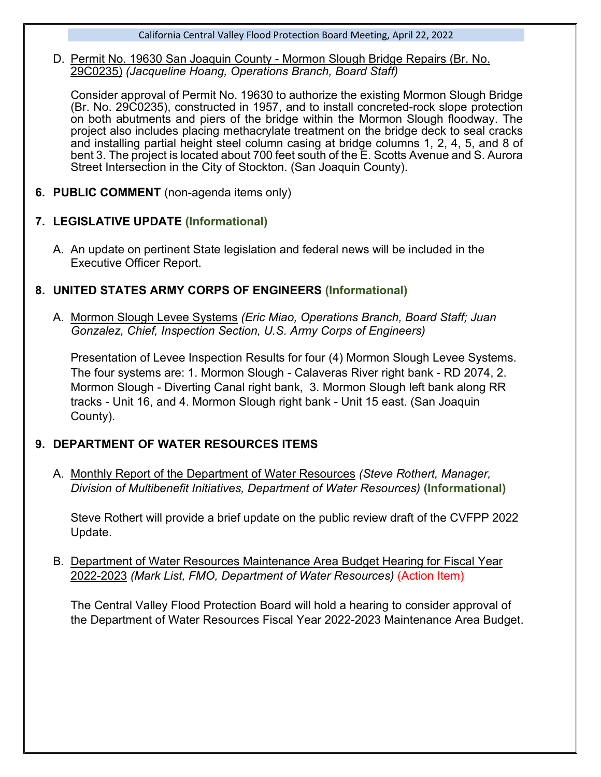D. Permit No. 19630 San Joaquin County - Mormon Slough Bridge Repairs (Br. No. 29C0235) *(Jacqueline Hoang, Operations Branch, Board Staff)*

Consider approval of Permit No. 19630 to authorize the existing Mormon Slough Bridge (Br. No. 29C0235), constructed in 1957, and to install concreted-rock slope protection on both abutments and piers of the bridge within the Mormon Slough floodway. The project also includes placing methacrylate treatment on the bridge deck to seal cracks and installing partial height steel column casing at bridge columns 1, 2, 4, 5, and 8 of bent 3. The project is located about 700 feet south of the E. Scotts Avenue and S. Aurora Street Intersection in the City of Stockton. (San Joaquin County).

**6. PUBLIC COMMENT** (non-agenda items only)

## **7. LEGISLATIVE UPDATE (Informational)**

A. An update on pertinent State legislation and federal news will be included in the Executive Officer Report.

## **8. UNITED STATES ARMY CORPS OF ENGINEERS (Informational)**

A. Mormon Slough Levee Systems *(Eric Miao, Operations Branch, Board Staff; Juan Gonzalez, Chief, Inspection Section, U.S. Army Corps of Engineers)*

Presentation of Levee Inspection Results for four (4) Mormon Slough Levee Systems. The four systems are: 1. Mormon Slough - Calaveras River right bank - RD 2074, 2. Mormon Slough - Diverting Canal right bank, 3. Mormon Slough left bank along RR tracks - Unit 16, and 4. Mormon Slough right bank - Unit 15 east. (San Joaquin County).

# **9. DEPARTMENT OF WATER RESOURCES ITEMS**

A. Monthly Report of the Department of Water Resources *(Steve Rothert, Manager, Division of Multibenefit Initiatives, Department of Water Resources)* **(Informational)**

Steve Rothert will provide a brief update on the public review draft of the CVFPP 2022 Update.

B. Department of Water Resources Maintenance Area Budget Hearing for Fiscal Year 2022-2023 *(Mark List, FMO, Department of Water Resources)* (Action Item)

The Central Valley Flood Protection Board will hold a hearing to consider approval of the Department of Water Resources Fiscal Year 2022-2023 Maintenance Area Budget.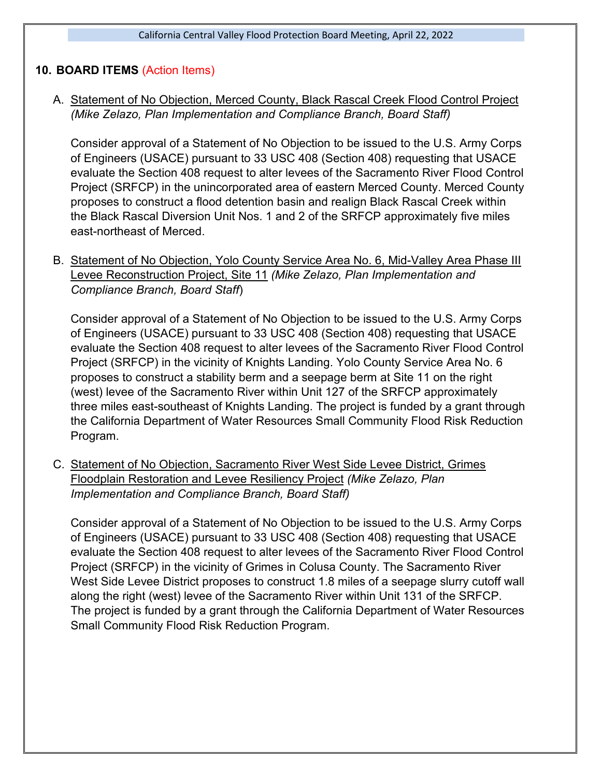#### **10. BOARD ITEMS** (Action Items)

A. Statement of No Objection, Merced County, Black Rascal Creek Flood Control Project *(Mike Zelazo, Plan Implementation and Compliance Branch, Board Staff)*

Consider approval of a Statement of No Objection to be issued to the U.S. Army Corps of Engineers (USACE) pursuant to 33 USC 408 (Section 408) requesting that USACE evaluate the Section 408 request to alter levees of the Sacramento River Flood Control Project (SRFCP) in the unincorporated area of eastern Merced County. Merced County proposes to construct a flood detention basin and realign Black Rascal Creek within the Black Rascal Diversion Unit Nos. 1 and 2 of the SRFCP approximately five miles east-northeast of Merced.

B. Statement of No Objection, Yolo County Service Area No. 6, Mid-Valley Area Phase III Levee Reconstruction Project, Site 11 *(Mike Zelazo, Plan Implementation and Compliance Branch, Board Staff*)

Consider approval of a Statement of No Objection to be issued to the U.S. Army Corps of Engineers (USACE) pursuant to 33 USC 408 (Section 408) requesting that USACE evaluate the Section 408 request to alter levees of the Sacramento River Flood Control Project (SRFCP) in the vicinity of Knights Landing. Yolo County Service Area No. 6 proposes to construct a stability berm and a seepage berm at Site 11 on the right (west) levee of the Sacramento River within Unit 127 of the SRFCP approximately three miles east-southeast of Knights Landing. The project is funded by a grant through the California Department of Water Resources Small Community Flood Risk Reduction Program.

C. Statement of No Objection, Sacramento River West Side Levee District, Grimes Floodplain Restoration and Levee Resiliency Project *(Mike Zelazo, Plan Implementation and Compliance Branch, Board Staff)*

Consider approval of a Statement of No Objection to be issued to the U.S. Army Corps of Engineers (USACE) pursuant to 33 USC 408 (Section 408) requesting that USACE evaluate the Section 408 request to alter levees of the Sacramento River Flood Control Project (SRFCP) in the vicinity of Grimes in Colusa County. The Sacramento River West Side Levee District proposes to construct 1.8 miles of a seepage slurry cutoff wall along the right (west) levee of the Sacramento River within Unit 131 of the SRFCP. The project is funded by a grant through the California Department of Water Resources Small Community Flood Risk Reduction Program.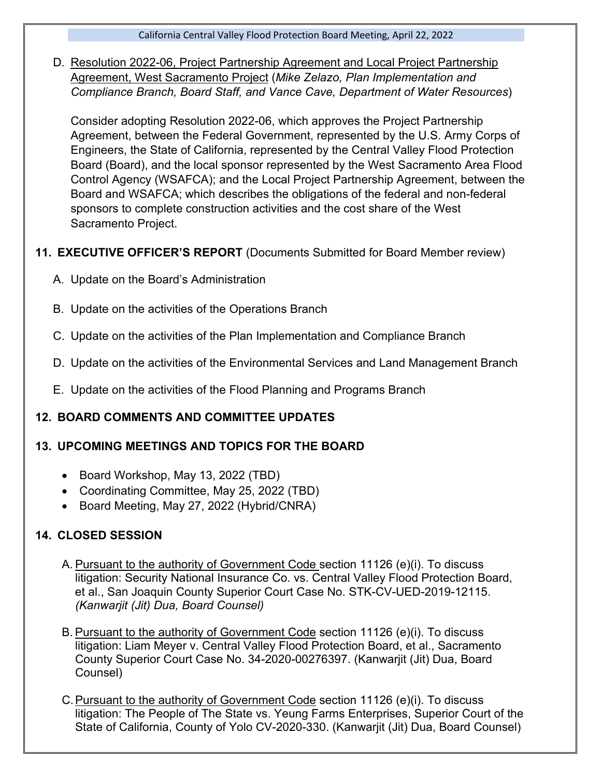D. Resolution 2022-06, Project Partnership Agreement and Local Project Partnership Agreement, West Sacramento Project (*Mike Zelazo, Plan Implementation and Compliance Branch, Board Staff, and Vance Cave, Department of Water Resources*)

Consider adopting Resolution 2022-06, which approves the Project Partnership Agreement, between the Federal Government, represented by the U.S. Army Corps of Engineers, the State of California, represented by the Central Valley Flood Protection Board (Board), and the local sponsor represented by the West Sacramento Area Flood Control Agency (WSAFCA); and the Local Project Partnership Agreement, between the Board and WSAFCA; which describes the obligations of the federal and non-federal sponsors to complete construction activities and the cost share of the West Sacramento Project.

## **11. EXECUTIVE OFFICER'S REPORT** (Documents Submitted for Board Member review)

- A. Update on the Board's Administration
- B. Update on the activities of the Operations Branch
- C. Update on the activities of the Plan Implementation and Compliance Branch
- D. Update on the activities of the Environmental Services and Land Management Branch
- E. Update on the activities of the Flood Planning and Programs Branch

# **12. BOARD COMMENTS AND COMMITTEE UPDATES**

# **13. UPCOMING MEETINGS AND TOPICS FOR THE BOARD**

- Board Workshop, May 13, 2022 (TBD)
- Coordinating Committee, May 25, 2022 (TBD)
- Board Meeting, May 27, 2022 (Hybrid/CNRA)

# **14. CLOSED SESSION**

- A. Pursuant to the authority of Government Code section 11126 (e)(i). To discuss litigation: Security National Insurance Co. vs. Central Valley Flood Protection Board, et al., San Joaquin County Superior Court Case No. STK-CV-UED-2019-12115. *(Kanwarjit (Jit) Dua, Board Counsel)*
- B. Pursuant to the authority of Government Code section 11126 (e)(i). To discuss litigation: Liam Meyer v. Central Valley Flood Protection Board, et al., Sacramento County Superior Court Case No. 34-2020-00276397. (Kanwarjit (Jit) Dua, Board Counsel)
- C.Pursuant to the authority of Government Code section 11126 (e)(i). To discuss litigation: The People of The State vs. Yeung Farms Enterprises, Superior Court of the State of California, County of Yolo CV-2020-330. (Kanwarjit (Jit) Dua, Board Counsel)